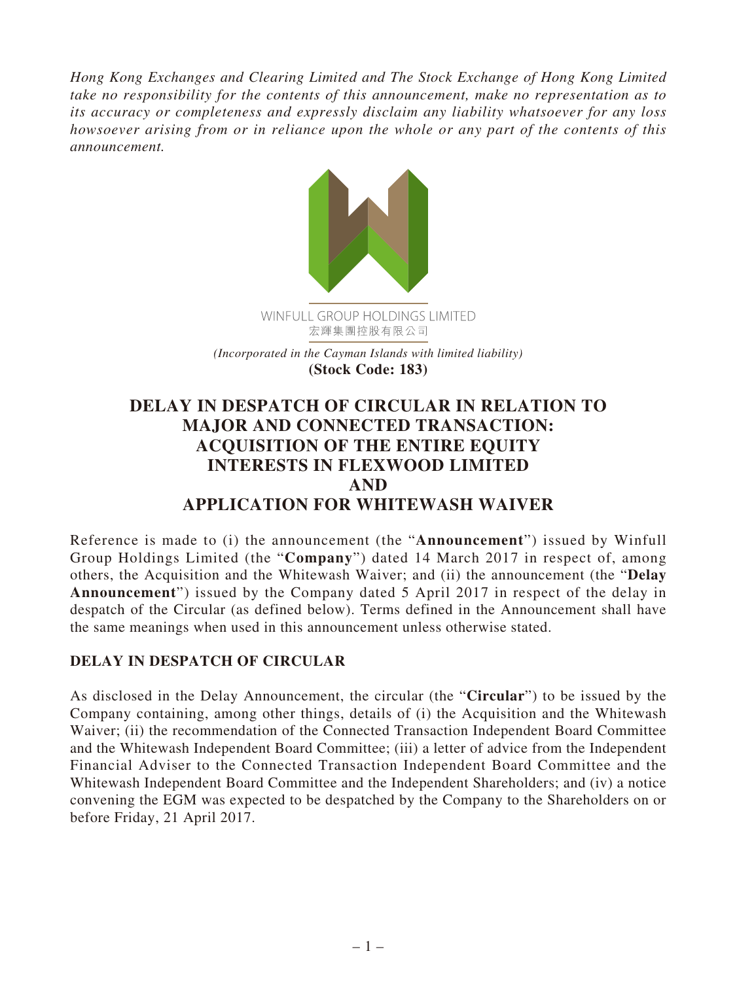*Hong Kong Exchanges and Clearing Limited and The Stock Exchange of Hong Kong Limited take no responsibility for the contents of this announcement, make no representation as to its accuracy or completeness and expressly disclaim any liability whatsoever for any loss howsoever arising from or in reliance upon the whole or any part of the contents of this announcement.*



**(Stock Code: 183)**

## **DELAY IN DESPATCH OF CIRCULAR IN RELATION TO MAJOR AND CONNECTED TRANSACTION: ACQUISITION OF THE ENTIRE EQUITY INTERESTS IN FLEXWOOD LIMITED AND APPLICATION FOR WHITEWASH WAIVER**

Reference is made to (i) the announcement (the "**Announcement**") issued by Winfull Group Holdings Limited (the "**Company**") dated 14 March 2017 in respect of, among others, the Acquisition and the Whitewash Waiver; and (ii) the announcement (the "**Delay Announcement**") issued by the Company dated 5 April 2017 in respect of the delay in despatch of the Circular (as defined below). Terms defined in the Announcement shall have the same meanings when used in this announcement unless otherwise stated.

## **DELAY IN DESPATCH OF CIRCULAR**

As disclosed in the Delay Announcement, the circular (the "**Circular**") to be issued by the Company containing, among other things, details of (i) the Acquisition and the Whitewash Waiver; (ii) the recommendation of the Connected Transaction Independent Board Committee and the Whitewash Independent Board Committee; (iii) a letter of advice from the Independent Financial Adviser to the Connected Transaction Independent Board Committee and the Whitewash Independent Board Committee and the Independent Shareholders; and (iv) a notice convening the EGM was expected to be despatched by the Company to the Shareholders on or before Friday, 21 April 2017.